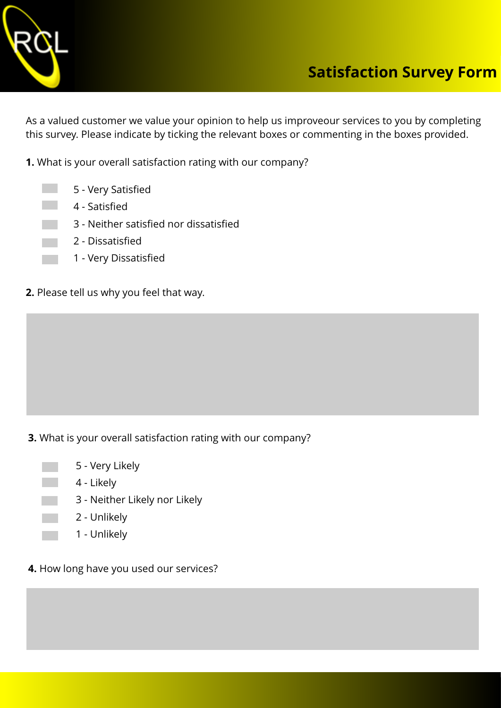

As a valued customer we value your opinion to help us improveour services to you by completing this survey. Please indicate by ticking the relevant boxes or commenting in the boxes provided.

**1.** What is your overall satisfaction rating with our company?

- 5 Very Satisfied
- 4 Satisfied
	- 3 Neither satisfied nor dissatisfied
	- 2 Dissatisfied
	- 1 Very Dissatisfied
- **2.** Please tell us why you feel that way.

**3.** What is your overall satisfaction rating with our company?

- 5 Very Likely 4 - Likely
	- 3 Neither Likely nor Likely
	- 2 Unlikely
	- 1 Unlikely
- **4.** How long have you used our services?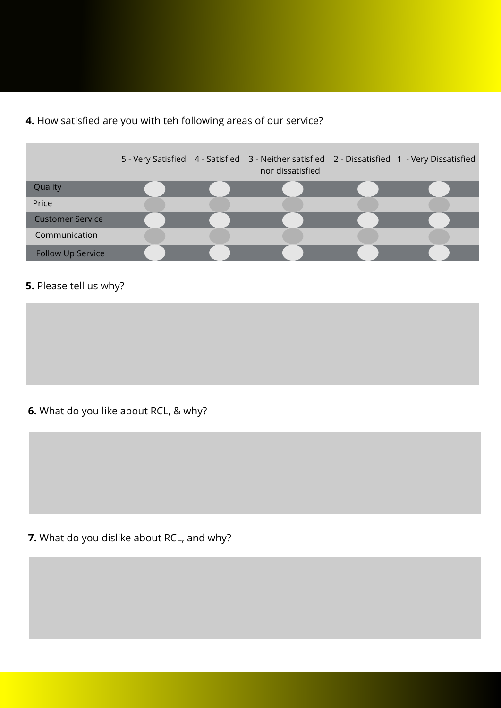## **4.** How satisfied are you with teh following areas of our service?

|                         |  | 5 - Very Satisfied 4 - Satisfied 3 - Neither satisfied 2 - Dissatisfied 1 - Very Dissatisfied<br>nor dissatisfied |  |
|-------------------------|--|-------------------------------------------------------------------------------------------------------------------|--|
| Quality                 |  |                                                                                                                   |  |
| Price                   |  |                                                                                                                   |  |
| <b>Customer Service</b> |  |                                                                                                                   |  |
| Communication           |  |                                                                                                                   |  |
| Follow Up Service       |  |                                                                                                                   |  |

## **5.** Please tell us why?

**6.** What do you like about RCL, & why?

## **7.** What do you dislike about RCL, and why?